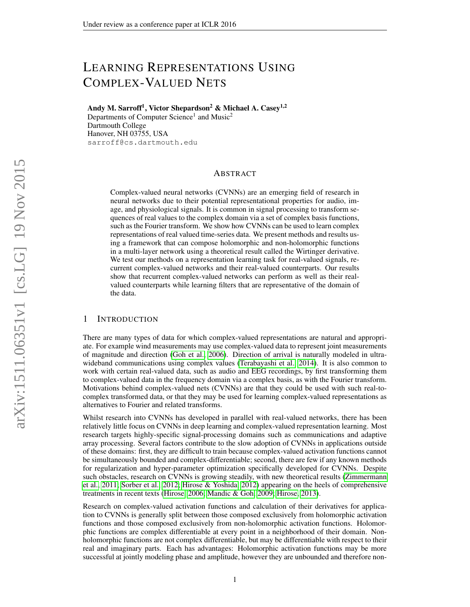# LEARNING REPRESENTATIONS USING COMPLEX-VALUED NETS

Andy M. Sarroff<sup>1</sup>, Victor Shepardson<sup>2</sup> & Michael A. Casey<sup>1,2</sup> Departments of Computer Science<sup>1</sup> and Music<sup>2</sup> Dartmouth College

Hanover, NH 03755, USA sarroff@cs.dartmouth.edu

#### ABSTRACT

Complex-valued neural networks (CVNNs) are an emerging field of research in neural networks due to their potential representational properties for audio, image, and physiological signals. It is common in signal processing to transform sequences of real values to the complex domain via a set of complex basis functions, such as the Fourier transform. We show how CVNNs can be used to learn complex representations of real valued time-series data. We present methods and results using a framework that can compose holomorphic and non-holomorphic functions in a multi-layer network using a theoretical result called the Wirtinger derivative. We test our methods on a representation learning task for real-valued signals, recurrent complex-valued networks and their real-valued counterparts. Our results show that recurrent complex-valued networks can perform as well as their realvalued counterparts while learning filters that are representative of the domain of the data.

#### 1 INTRODUCTION

There are many types of data for which complex-valued representations are natural and appropriate. For example wind measurements may use complex-valued data to represent joint measurements of magnitude and direction [\(Goh et al., 2006\)](#page-8-0). Direction of arrival is naturally modeled in ultrawideband communications using complex values [\(Terabayashi et al., 2014\)](#page-8-1). It is also common to work with certain real-valued data, such as audio and EEG recordings, by first transforming them to complex-valued data in the frequency domain via a complex basis, as with the Fourier transform. Motivations behind complex-valued nets (CVNNs) are that they could be used with such real-tocomplex transformed data, or that they may be used for learning complex-valued representations as alternatives to Fourier and related transforms.

Whilst research into CVNNs has developed in parallel with real-valued networks, there has been relatively little focus on CVNNs in deep learning and complex-valued representation learning. Most research targets highly-specific signal-processing domains such as communications and adaptive array processing. Several factors contribute to the slow adoption of CVNNs in applications outside of these domains: first, they are difficult to train because complex-valued activation functions cannot be simultaneously bounded and complex-differentiable; second, there are few if any known methods for regularization and hyper-parameter optimization specifically developed for CVNNs. Despite such obstacles, research on CVNNs is growing steadily, with new theoretical results [\(Zimmermann](#page-8-2) [et al., 2011;](#page-8-2) [Sorber et al., 2012;](#page-8-3) [Hirose & Yoshida, 2012\)](#page-8-4) appearing on the heels of comprehensive treatments in recent texts [\(Hirose, 2006;](#page-8-5) [Mandic & Goh, 2009;](#page-8-6) [Hirose, 2013\)](#page-8-7).

Research on complex-valued activation functions and calculation of their derivatives for application to CVNNs is generally split between those composed exclusively from holomorphic activation functions and those composed exclusively from non-holomorphic activation functions. Holomorphic functions are complex differentiable at every point in a neighborhood of their domain. Nonholomorphic functions are not complex differentiable, but may be differentiable with respect to their real and imaginary parts. Each has advantages: Holomorphic activation functions may be more successful at jointly modeling phase and amplitude, however they are unbounded and therefore non-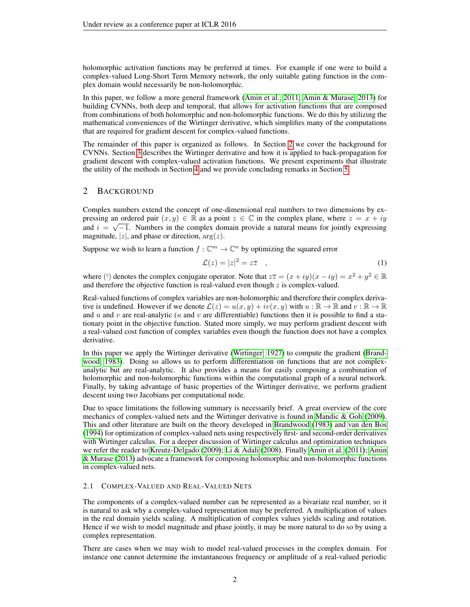holomorphic activation functions may be preferred at times. For example if one were to build a complex-valued Long-Short Term Memory network, the only suitable gating function in the complex domain would necessarily be non-holomorphic.

In this paper, we follow a more general framework [\(Amin et al., 2011;](#page-8-8) [Amin & Murase, 2013\)](#page-8-9) for building CVNNs, both deep and temporal, that allows for activation functions that are composed from combinations of both holomorphic and non-holomorphic functions. We do this by utilizing the mathematical conveniences of the Wirtinger derivative, which simplifies many of the computations that are required for gradient descent for complex-valued functions.

The remainder of this paper is organized as follows. In Section [2](#page-1-0) we cover the background for CVNNs. Section [3](#page-2-0) describes the Wirtinger derivative and how it is applied to back-propagation for gradient descent with complex-valued activation functions. We present experiments that illustrate the utility of the methods in Section [4](#page-4-0) and we provide concluding remarks in Section [5.](#page-7-0)

## <span id="page-1-0"></span>2 BACKGROUND

Complex numbers extend the concept of one-dimensional real numbers to two dimensions by expressing an ordered pair  $(x, y) \in \mathbb{R}$  as a point  $z \in \mathbb{C}$  in the complex plane, where  $z = x + iy$ and  $i = \sqrt{-1}$ . Numbers in the complex domain provide a natural means for jointly expressing magnitude,  $|z|$ , and phase or direction,  $arg(z)$ .

Suppose we wish to learn a function  $f: \mathbb{C}^m \to \mathbb{C}^n$  by optimizing the squared error

<span id="page-1-1"></span>
$$
\mathcal{L}(z) = |z|^2 = z\overline{z} \quad , \tag{1}
$$

where ( $\bar{z}$ ) denotes the complex conjugate operator. Note that  $z\bar{z} = (x + iy)(x - iy) = x^2 + y^2 \in \mathbb{R}$ and therefore the objective function is real-valued even though  $z$  is complex-valued.

Real-valued functions of complex variables are non-holomorphic and therefore their complex derivative is undefined. However if we denote  $\mathcal{L}(z) = u(x, y) + iv(x, y)$  with  $u : \mathbb{R} \to \mathbb{R}$  and  $v : \mathbb{R} \to \mathbb{R}$ and u and v are real-analytic (u and v are differentiable) functions then it is possible to find a stationary point in the objective function. Stated more simply, we may perform gradient descent with a real-valued cost function of complex variables even though the function does not have a complex derivative.

In this paper we apply the Wirtinger derivative [\(Wirtinger, 1927\)](#page-8-10) to compute the gradient [\(Brand](#page-8-11)[wood, 1983\)](#page-8-11). Doing so allows us to perform differentiation on functions that are not complexanalytic but are real-analytic. It also provides a means for easily composing a combination of holomorphic and non-holomorphic functions within the computational graph of a neural network. Finally, by taking advantage of basic properties of the Wirtinger derivative, we perform gradient descent using two Jacobians per computational node.

Due to space limitations the following summary is necessarily brief. A great overview of the core mechanics of complex-valued nets and the Wirtinger derivative is found in [Mandic & Goh](#page-8-6) [\(2009\)](#page-8-6). This and other literature are built on the theory developed in [Brandwood](#page-8-11) [\(1983\)](#page-8-11) and [van den Bos](#page-8-12) [\(1994\)](#page-8-12) for optimization of complex-valued nets using respectively first- and second-order derivatives with Wirtinger calculus. For a deeper discussion of Wirtinger calculus and optimization techniques we refer the reader to [Kreutz-Delgado](#page-8-13) [\(2009\)](#page-8-13); [Li & Adali](#page-8-14) [\(2008\)](#page-8-14). Finally [Amin et al.](#page-8-8) [\(2011\)](#page-8-8); [Amin](#page-8-9) [& Murase](#page-8-9) [\(2013\)](#page-8-9) advocate a framework for composing holomorphic and non-holomorphic functions in complex-valued nets.

#### 2.1 COMPLEX-VALUED AND REAL-VALUED NETS

The components of a complex-valued number can be represented as a bivariate real number, so it is natural to ask why a complex-valued representation may be preferred. A multiplication of values in the real domain yields scaling. A multiplication of complex values yields scaling and rotation. Hence if we wish to model magnitude and phase jointly, it may be more natural to do so by using a complex representation.

There are cases when we may wish to model real-valued processes in the complex domain. For instance one cannot determine the instantaneous frequency or amplitude of a real-valued periodic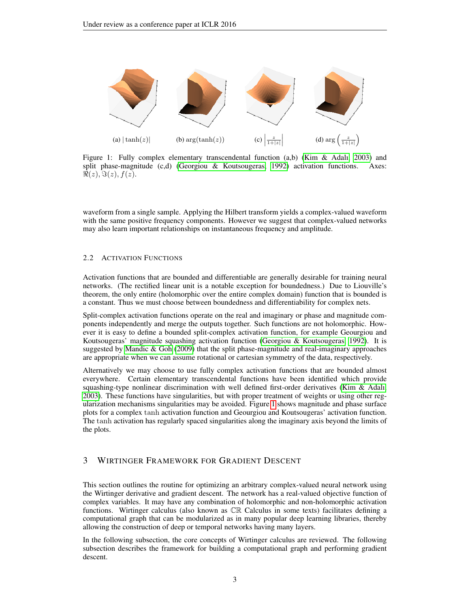<span id="page-2-1"></span>

Figure 1: Fully complex elementary transcendental function (a,b) [\(Kim & Adalı, 2003\)](#page-8-15) and split phase-magnitude (c,d) [\(Georgiou & Koutsougeras, 1992\)](#page-8-16) activation functions. Axes:  $\Re(z), \Im(z), f(z).$ 

waveform from a single sample. Applying the Hilbert transform yields a complex-valued waveform with the same positive frequency components. However we suggest that complex-valued networks may also learn important relationships on instantaneous frequency and amplitude.

#### 2.2 ACTIVATION FUNCTIONS

Activation functions that are bounded and differentiable are generally desirable for training neural networks. (The rectified linear unit is a notable exception for boundedness.) Due to Liouville's theorem, the only entire (holomorphic over the entire complex domain) function that is bounded is a constant. Thus we must choose between boundedness and differentiability for complex nets.

Split-complex activation functions operate on the real and imaginary or phase and magnitude components independently and merge the outputs together. Such functions are not holomorphic. However it is easy to define a bounded split-complex activation function, for example Geourgiou and Koutsougeras' magnitude squashing activation function [\(Georgiou & Koutsougeras, 1992\)](#page-8-16). It is suggested by [Mandic & Goh](#page-8-6) [\(2009\)](#page-8-6) that the split phase-magnitude and real-imaginary approaches are appropriate when we can assume rotational or cartesian symmetry of the data, respectively.

Alternatively we may choose to use fully complex activation functions that are bounded almost everywhere. Certain elementary transcendental functions have been identified which provide squashing-type nonlinear discrimination with well defined first-order derivatives (Kim  $\&$  Adalı, [2003\)](#page-8-15). These functions have singularities, but with proper treatment of weights or using other regularization mechanisms singularities may be avoided. Figure [1](#page-2-1) shows magnitude and phase surface plots for a complex tanh activation function and Geourgiou and Koutsougeras' activation function. The tanh activation has regularly spaced singularities along the imaginary axis beyond the limits of the plots.

## <span id="page-2-0"></span>3 WIRTINGER FRAMEWORK FOR GRADIENT DESCENT

This section outlines the routine for optimizing an arbitrary complex-valued neural network using the Wirtinger derivative and gradient descent. The network has a real-valued objective function of complex variables. It may have any combination of holomorphic and non-holomorphic activation functions. Wirtinger calculus (also known as CR Calculus in some texts) facilitates defining a computational graph that can be modularized as in many popular deep learning libraries, thereby allowing the construction of deep or temporal networks having many layers.

In the following subsection, the core concepts of Wirtinger calculus are reviewed. The following subsection describes the framework for building a computational graph and performing gradient descent.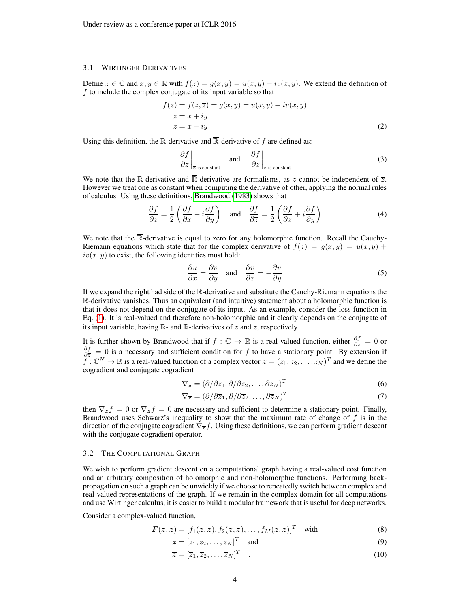#### 3.1 WIRTINGER DERIVATIVES

Define  $z \in \mathbb{C}$  and  $x, y \in \mathbb{R}$  with  $f(z) = g(x, y) = u(x, y) + iv(x, y)$ . We extend the definition of  $f$  to include the complex conjugate of its input variable so that

$$
f(z) = f(z, \overline{z}) = g(x, y) = u(x, y) + iv(x, y)
$$
  
\n
$$
z = x + iy
$$
  
\n
$$
\overline{z} = x - iy
$$
\n(2)

Using this definition, the R-derivative and  $\overline{\mathbb{R}}$ -derivative of f are defined as:

$$
\frac{\partial f}{\partial z}\Big|_{\overline{z} \text{ is constant}} \quad \text{and} \quad \frac{\partial f}{\partial \overline{z}}\Big|_{z \text{ is constant}} \tag{3}
$$

We note that the R-derivative and  $\overline{\mathbb{R}}$ -derivative are formalisms, as z cannot be independent of  $\overline{z}$ . However we treat one as constant when computing the derivative of other, applying the normal rules of calculus. Using these definitions, [Brandwood](#page-8-11) [\(1983\)](#page-8-11) shows that

$$
\frac{\partial f}{\partial z} = \frac{1}{2} \left( \frac{\partial f}{\partial x} - i \frac{\partial f}{\partial y} \right) \quad \text{and} \quad \frac{\partial f}{\partial \overline{z}} = \frac{1}{2} \left( \frac{\partial f}{\partial x} + i \frac{\partial f}{\partial y} \right) \tag{4}
$$

We note that the  $\overline{\mathbb{R}}$ -derivative is equal to zero for any holomorphic function. Recall the Cauchy-Riemann equations which state that for the complex derivative of  $f(z) = g(x, y) = u(x, y) +$  $iv(x, y)$  to exist, the following identities must hold:

$$
\frac{\partial u}{\partial x} = \frac{\partial v}{\partial y} \quad \text{and} \quad \frac{\partial v}{\partial x} = -\frac{\partial u}{\partial y} \tag{5}
$$

If we expand the right had side of the  $\overline{\mathbb{R}}$ -derivative and substitute the Cauchy-Riemann equations the  $\mathbb{R}$ -derivative vanishes. Thus an equivalent (and intuitive) statement about a holomorphic function is that it does not depend on the conjugate of its input. As an example, consider the loss function in Eq. [\(1\)](#page-1-1). It is real-valued and therefore non-holomorphic and it clearly depends on the conjugate of its input variable, having  $\mathbb{R}$ - and  $\overline{\mathbb{R}}$ -derivatives of  $\overline{z}$  and  $z$ , respectively.

It is further shown by Brandwood that if  $f : \mathbb{C} \to \mathbb{R}$  is a real-valued function, either  $\frac{\partial f}{\partial z} = 0$  or  $\frac{\partial f}{\partial \overline{z}}$  = 0 is a necessary and sufficient condition for f to have a stationary point. By extension if  $\widetilde{f}: \mathbb{C}^N \to \mathbb{R}$  is a real-valued function of a complex vector  $\boldsymbol{z} = (z_1, z_2, \dots, z_N)^T$  and we define the cogradient and conjugate cogradient

$$
\nabla_{\mathbf{z}} = (\partial/\partial z_1, \partial/\partial z_2, \dots, \partial z_N)^T
$$
 (6)

$$
\nabla_{\overline{z}} = (\partial/\partial \overline{z}_1, \partial/\partial \overline{z}_2, \dots, \partial \overline{z}_N)^T
$$
\n(7)

then  $\nabla_z f = 0$  or  $\nabla_{\overline{z}} f = 0$  are necessary and sufficient to determine a stationary point. Finally, Brandwood uses Schwarz's inequality to show that the maximum rate of change of  $f$  is in the direction of the conjugate cogradient  $\nabla_{\overline{z}} f$ . Using these definitions, we can perform gradient descent with the conjugate cogradient operator.

#### 3.2 THE COMPUTATIONAL GRAPH

We wish to perform gradient descent on a computational graph having a real-valued cost function and an arbitrary composition of holomorphic and non-holomorphic functions. Performing backpropagation on such a graph can be unwieldy if we choose to repeatedly switch between complex and real-valued representations of the graph. If we remain in the complex domain for all computations and use Wirtinger calculus, it is easier to build a modular framework that is useful for deep networks.

Consider a complex-valued function,

$$
\boldsymbol{F}(\boldsymbol{z},\overline{\boldsymbol{z}}) = [f_1(\boldsymbol{z},\overline{\boldsymbol{z}}), f_2(\boldsymbol{z},\overline{\boldsymbol{z}}), \dots, f_M(\boldsymbol{z},\overline{\boldsymbol{z}})]^T \quad \text{with} \tag{8}
$$

$$
\boldsymbol{z} = [z_1, z_2, \dots, z_N]^T \quad \text{and} \tag{9}
$$

$$
\overline{\mathbf{z}} = [\overline{z}_1, \overline{z}_2, \dots, \overline{z}_N]^T \quad . \tag{10}
$$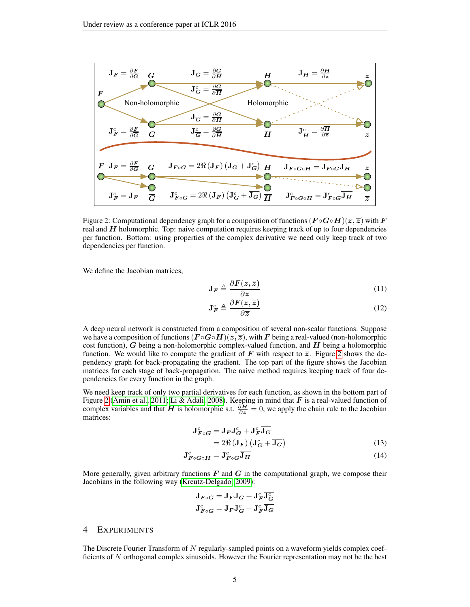<span id="page-4-1"></span>

Figure 2: Computational dependency graph for a composition of functions  $(F \circ G \circ H)(z, \overline{z})$  with F real and  $H$  holomorphic. Top: naive computation requires keeping track of up to four dependencies per function. Bottom: using properties of the complex derivative we need only keep track of two dependencies per function.

We define the Jacobian matrices,

$$
\mathbf{J}_F \triangleq \frac{\partial F(z,\overline{z})}{\partial z} \tag{11}
$$

$$
\mathbf{J}_F^c \triangleq \frac{\partial \boldsymbol{F}(z,\overline{z})}{\partial \overline{z}}
$$
 (12)

A deep neural network is constructed from a composition of several non-scalar functions. Suppose we have a composition of functions  $(F \circ G \circ H)(z, \overline{z})$ , with F being a real-valued (non-holomorphic cost function), G being a non-holomorphic complex-valued function, and  $H$  being a holomorphic function. We would like to compute the gradient of F with respect to  $\overline{z}$ . Figure [2](#page-4-1) shows the dependency graph for back-propagating the gradient. The top part of the figure shows the Jacobian matrices for each stage of back-propagation. The naive method requires keeping track of four dependencies for every function in the graph.

We need keep track of only two partial derivatives for each function, as shown in the bottom part of Figure [2](#page-4-1) [\(Amin et al., 2011;](#page-8-8) [Li & Adali, 2008\)](#page-8-14). Keeping in mind that  $F$  is a real-valued function of complex variables and that H is holomorphic s.t.  $\frac{\partial H}{\partial \overline{z}} = 0$ , we apply the chain rule to the Jacobian matrices:

$$
\mathbf{J}_{\mathbf{F}\circ\mathbf{G}}^{c} = \mathbf{J}_{\mathbf{F}}\mathbf{J}_{\mathbf{G}}^{c} + \mathbf{J}_{\mathbf{F}}^{c}\overline{\mathbf{J}_{\mathbf{G}}}
$$
  
= 2\Re(\mathbf{J}\_{\mathbf{F}}) (\mathbf{J}\_{\mathbf{G}}^{c} + \overline{\mathbf{J}\_{\mathbf{G}}}) (13)

$$
\mathbf{J}_{F\circ G\circ H}^c = \mathbf{J}_{F\circ G}^c \overline{\mathbf{J}_H} \tag{14}
$$

More generally, given arbitrary functions  $\bf{F}$  and  $\bf{G}$  in the computational graph, we compose their Jacobians in the following way [\(Kreutz-Delgado, 2009\)](#page-8-13):

$$
\begin{aligned} \mathbf{J}_{\boldsymbol{F}\circ\boldsymbol{G}} &= \mathbf{J}_{\boldsymbol{F}}\mathbf{J}_{\boldsymbol{G}} + \mathbf{J}_{\boldsymbol{F}}^c\overline{\mathbf{J}_{\boldsymbol{G}}^c}\\ \mathbf{J}_{\boldsymbol{F}\circ\boldsymbol{G}}^c &= \mathbf{J}_{\boldsymbol{F}}\mathbf{J}_{\boldsymbol{G}}^c + \mathbf{J}_{\boldsymbol{F}}^c\overline{\mathbf{J}_{\boldsymbol{G}}} \end{aligned}
$$

#### <span id="page-4-0"></span>4 EXPERIMENTS

The Discrete Fourier Transform of N regularly-sampled points on a waveform yields complex coefficients of N orthogonal complex sinusoids. However the Fourier representation may not be the best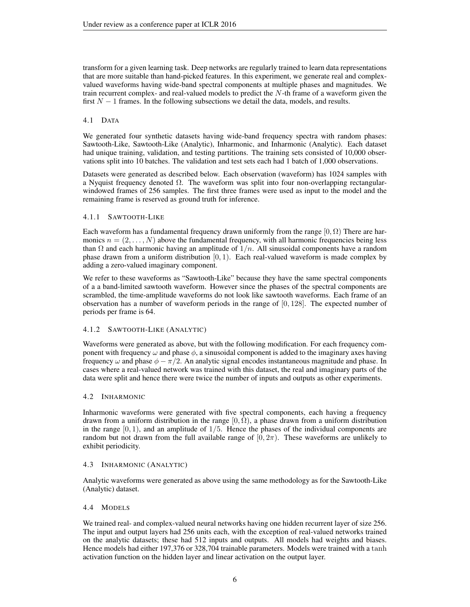transform for a given learning task. Deep networks are regularly trained to learn data representations that are more suitable than hand-picked features. In this experiment, we generate real and complexvalued waveforms having wide-band spectral components at multiple phases and magnitudes. We train recurrent complex- and real-valued models to predict the N-th frame of a waveform given the first  $N - 1$  frames. In the following subsections we detail the data, models, and results.

## 4.1 DATA

We generated four synthetic datasets having wide-band frequency spectra with random phases: Sawtooth-Like, Sawtooth-Like (Analytic), Inharmonic, and Inharmonic (Analytic). Each dataset had unique training, validation, and testing partitions. The training sets consisted of 10,000 observations split into 10 batches. The validation and test sets each had 1 batch of 1,000 observations.

Datasets were generated as described below. Each observation (waveform) has 1024 samples with a Nyquist frequency denoted Ω. The waveform was split into four non-overlapping rectangularwindowed frames of 256 samples. The first three frames were used as input to the model and the remaining frame is reserved as ground truth for inference.

## 4.1.1 SAWTOOTH-LIKE

Each waveform has a fundamental frequency drawn uniformly from the range  $[0, \Omega)$  There are harmonics  $n = (2, \ldots, N)$  above the fundamental frequency, with all harmonic frequencies being less than  $\Omega$  and each harmonic having an amplitude of  $1/n$ . All sinusoidal components have a random phase drawn from a uniform distribution  $[0, 1)$ . Each real-valued waveform is made complex by adding a zero-valued imaginary component.

We refer to these waveforms as "Sawtooth-Like" because they have the same spectral components of a a band-limited sawtooth waveform. However since the phases of the spectral components are scrambled, the time-amplitude waveforms do not look like sawtooth waveforms. Each frame of an observation has a number of waveform periods in the range of  $[0, 128]$ . The expected number of periods per frame is 64.

## 4.1.2 SAWTOOTH-LIKE (ANALYTIC)

Waveforms were generated as above, but with the following modification. For each frequency component with frequency  $\omega$  and phase  $\phi$ , a sinusoidal component is added to the imaginary axes having frequency  $\omega$  and phase  $\phi - \pi/2$ . An analytic signal encodes instantaneous magnitude and phase. In cases where a real-valued network was trained with this dataset, the real and imaginary parts of the data were split and hence there were twice the number of inputs and outputs as other experiments.

## 4.2 INHARMONIC

Inharmonic waveforms were generated with five spectral components, each having a frequency drawn from a uniform distribution in the range  $[0, \Omega)$ , a phase drawn from a uniform distribution in the range  $[0, 1)$ , and an amplitude of  $1/5$ . Hence the phases of the individual components are random but not drawn from the full available range of  $[0, 2\pi)$ . These waveforms are unlikely to exhibit periodicity.

## 4.3 INHARMONIC (ANALYTIC)

Analytic waveforms were generated as above using the same methodology as for the Sawtooth-Like (Analytic) dataset.

## 4.4 MODELS

We trained real- and complex-valued neural networks having one hidden recurrent layer of size 256. The input and output layers had 256 units each, with the exception of real-valued networks trained on the analytic datasets; these had 512 inputs and outputs. All models had weights and biases. Hence models had either 197,376 or 328,704 trainable parameters. Models were trained with a tanh activation function on the hidden layer and linear activation on the output layer.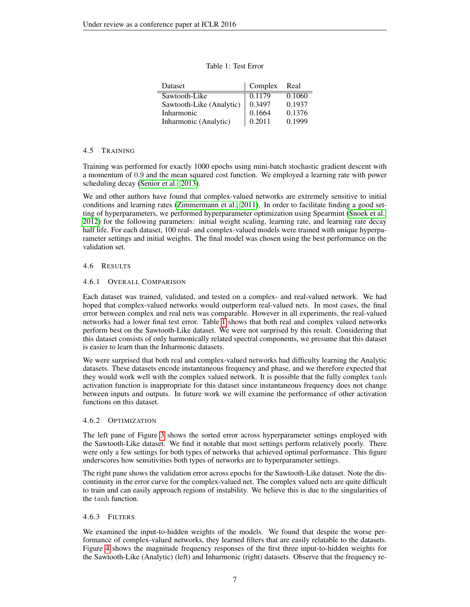<span id="page-6-0"></span>

| Dataset                           | Complex Real |        |
|-----------------------------------|--------------|--------|
| Sawtooth-Like                     | 0.1179       | 0.1060 |
| Sawtooth-Like (Analytic)   0.3497 |              | 0.1937 |

Inharmonic 0.1664 0.1376 Inharmonic (Analytic)  $\begin{array}{|l} 0.2011 & 0.1999 \end{array}$ 

#### Table 1: Test Error

#### 4.5 TRAINING

Training was performed for exactly 1000 epochs using mini-batch stochastic gradient descent with a momentum of 0.9 and the mean squared cost function. We employed a learning rate with power scheduling decay [\(Senior et al., 2013\)](#page-8-17).

We and other authors have found that complex-valued networks are extremely sensitive to initial conditions and learning rates [\(Zimmermann et al., 2011\)](#page-8-2). In order to facilitate finding a good setting of hyperparameters, we performed hyperparameter optimization using Spearmint [\(Snoek et al.,](#page-8-18) [2012\)](#page-8-18) for the following parameters: initial weight scaling, learning rate, and learning rate decay half life. For each dataset, 100 real- and complex-valued models were trained with unique hyperparameter settings and initial weights. The final model was chosen using the best performance on the validation set.

## 4.6 RESULTS

## 4.6.1 OVERALL COMPARISON

Each dataset was trained, validated, and tested on a complex- and real-valued network. We had hoped that complex-valued networks would outperform real-valued nets. In most cases, the final error between complex and real nets was comparable. However in all experiments, the real-valued networks had a lower final test error. Table [1](#page-6-0) shows that both real and complex valued networks perform best on the Sawtooth-Like dataset. We were not surprised by this result. Considering that this dataset consists of only harmonically related spectral components, we presume that this dataset is easier to learn than the Inharmonic datasets.

We were surprised that both real and complex-valued networks had difficulty learning the Analytic datasets. These datasets encode instantaneous frequency and phase, and we therefore expected that they would work well with the complex valued network. It is possible that the fully complex tanh activation function is inappropriate for this dataset since instantaneous frequency does not change between inputs and outputs. In future work we will examine the performance of other activation functions on this dataset.

## 4.6.2 OPTIMIZATION

The left pane of Figure [3](#page-7-1) shows the sorted error across hyperparameter settings employed with the Sawtooth-Like dataset. We find it notable that most settings perform relatively poorly. There were only a few settings for both types of networks that achieved optimal performance. This figure underscores how sensitivities both types of networks are to hyperparameter settings.

The right pane shows the validation error across epochs for the Sawtooth-Like dataset. Note the discontinuity in the error curve for the complex-valued net. The complex valued nets are quite difficult to train and can easily approach regions of instability. We believe this is due to the singularities of the tanh function.

## 4.6.3 FILTERS

We examined the input-to-hidden weights of the models. We found that despite the worse performance of complex-valued networks, they learned filters that are easily relatable to the datasets. Figure [4](#page-7-2) shows the magnitude frequency responses of the first three input-to-hidden weights for the Sawtooth-Like (Analytic) (left) and Inharmonic (right) datasets. Observe that the frequency re-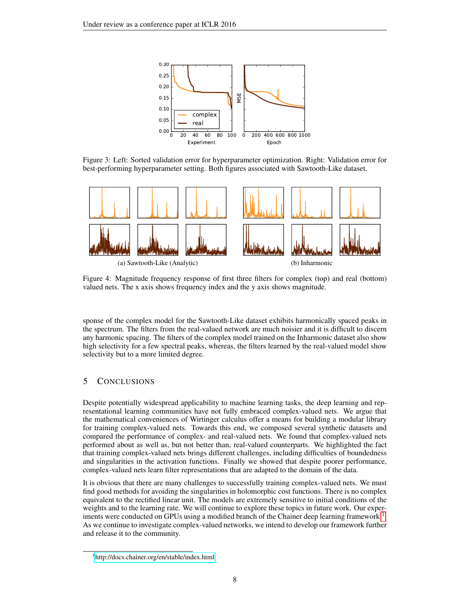<span id="page-7-1"></span>

Figure 3: Left: Sorted validation error for hyperparameter optimization. Right: Validation error for best-performing hyperparameter setting. Both figures associated with Sawtooth-Like dataset.

<span id="page-7-2"></span>

Figure 4: Magnitude frequency response of first three filters for complex (top) and real (bottom) valued nets. The x axis shows frequency index and the y axis shows magnitude.

sponse of the complex model for the Sawtooth-Like dataset exhibits harmonically spaced peaks in the spectrum. The filters from the real-valued network are much noisier and it is difficult to discern any harmonic spacing. The filters of the complex model trained on the Inharmonic dataset also show high selectivity for a few spectral peaks, whereas, the filters learned by the real-valued model show selectivity but to a more limited degree.

## <span id="page-7-0"></span>5 CONCLUSIONS

Despite potentially widespread applicability to machine learning tasks, the deep learning and representational learning communities have not fully embraced complex-valued nets. We argue that the mathematical conveniences of Wirtinger calculus offer a means for building a modular library for training complex-valued nets. Towards this end, we composed several synthetic datasets and compared the performance of complex- and real-valued nets. We found that complex-valued nets performed about as well as, but not better than, real-valued counterparts. We highlighted the fact that training complex-valued nets brings different challenges, including difficulties of boundedness and singularities in the activation functions. Finally we showed that despite poorer performance, complex-valued nets learn filter representations that are adapted to the domain of the data.

It is obvious that there are many challenges to successfully training complex-valued nets. We must find good methods for avoiding the singularities in holomorphic cost functions. There is no complex equivalent to the rectified linear unit. The models are extremely sensitive to initial conditions of the weights and to the learning rate. We will continue to explore these topics in future work. Our exper-iments were conducted on GPUs using a modified branch of the Chainer deep learning framework.<sup>[1](#page-7-3)</sup>. As we continue to investigate complex-valued networks, we intend to develop our framework further and release it to the community.

<span id="page-7-3"></span><sup>1</sup> <http://docs.chainer.org/en/stable/index.html>